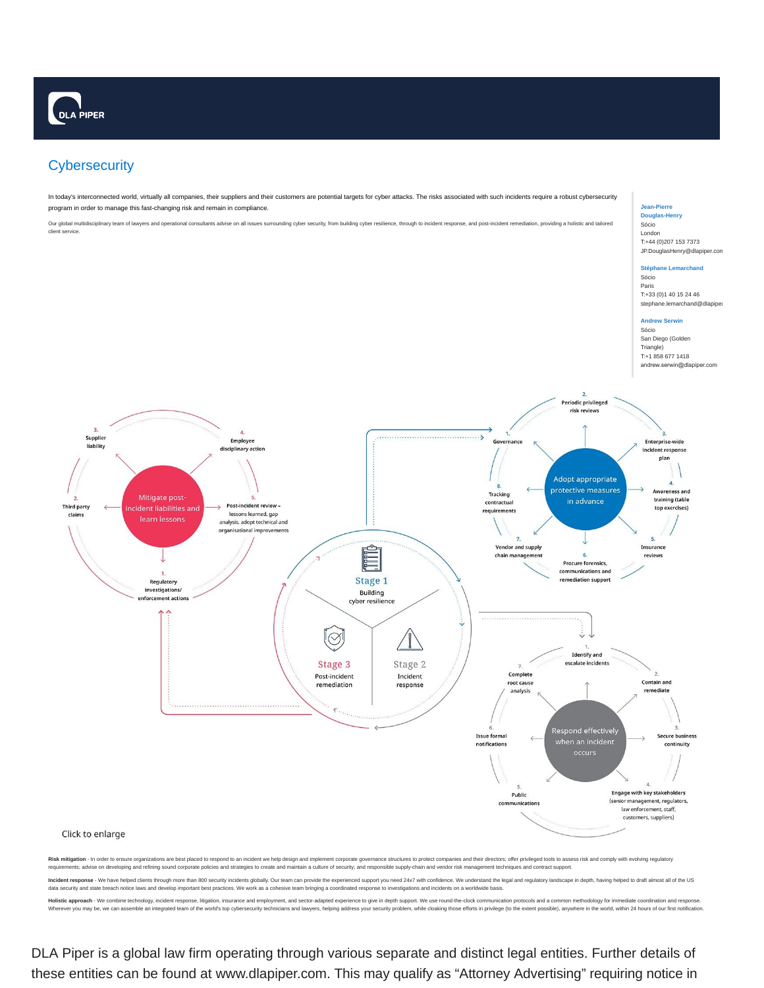# **Cybersecurity**

In today's interconnected world, virtually all companies, their suppliers and their customers are potential targets for cyber attacks. The risks associated with such incidents require a robust cybersecurity program in order to manage this fast-changing risk and remain in compliance.

Our global multidisciplinary team of lawyers and operational consultants advise on all issues surrounding cyber security, from building cyber resilience, through to incident response, and post-incident remediation, providi client service.

# **Jean-Pierre Douglas-Henry** Sócio London

T:+44 (0)207 153 7373 JP.DouglasHenry@dlapiper.com

# **Stéphane Lemarchand** Sócio

Paris T:+33 (0)1 40 15 24 46 stephane.lemarchand@dlapipe

# **Andrew Serwin** Sócio

San Diego (Golden Triangle) T:+1 858 677 1418 andrew.serwin@dlapiper.com



Holistic approach - We combine technology, incident response, litigation, insurance and employment, and sector-adapted experience to give in depth support. We use round-the-clock communication protocols and a common method Wherever you may be, we can assemble an integrated team of the world's top cybersecurity technicians and lawyers, helping address your security rooblem, while cloaking those efforts in privilege (to the extent possible), a

DLA Piper is a global law firm operating through various separate and distinct legal entities. Further details of these entities can be found at www.dlapiper.com. This may qualify as "Attorney Advertising" requiring notice in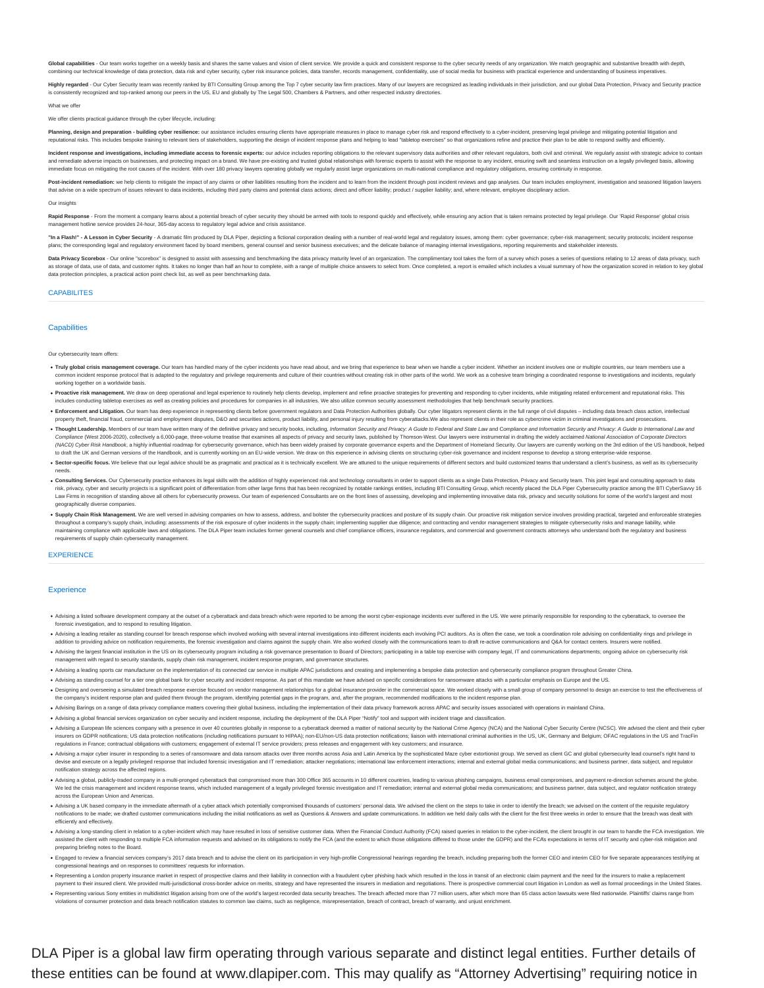Global capabilities - Our team works together on a weekly basis and shares the same values and vision of client service. We provide a quick and consistent response to the cyber security needs of any organization. We match combining our technical knowledge of data protection, data risk and cyber security, cyber risk insurance policies, data transfer, records management, confidentiality, use of social media for business with practical experie

Highly regarded - Our Cyber Security team was recently ranked by BTI Consulting Group among the Top 7 cyber security law firm practices. Many of our lawyers are recognized as leading individuals in their jurisdiction, and ently recognized and top-ranked among our peers in the US, EU and globally by The Legal 500, Chambers & Partners, and other respected industry directories

What we offer

### We offer clients practical guidance through the cyber lifecycle, inc

Planning, design and preparation - building cyber resilience: our assistance includes ensuring clients have appropriate measures in place to manage cyber risk and respond effectively to a cyber-incident, preserving legal p reputational risks. This includes bespoke training to relevant tiers of stakeholders, supporting the design of incident response plans and helping to lead "tabletop exercises" so that organizations refine and practice thei

Incident response and investigations, including immediate access to forensic experts: our advice includes reporting obligations to the relevant supervisory data authorities and other relevant regulators, both civil and cri es, and protecting impact on a brand. We have pre-existing and trusted global relationships with forensic experts to assist with the response to any incident, ensuring swift and seamless instru immediate focus on mitigating the root causes of the incident. With over 180 privacy lawyers operating globally we regularly assist large organizations on multi-national compliance and regulatory obligations, ensuring cont

Post-incident remediation: we help clients to mitigate the impact of any claims or other liabilities resulting from the incident and to learn from the incident through post incident treviews and gap analyses. Our team incl that advise on a wide spectrum of issues relevant to data incidents, including third party claims and potential class actions: direct and officer liability: product / supplier liability: and, where relevant, employee disci

# Our insights

Rapid Response - From the moment a company learns about a potential breach of cyber security they should be armed with tools to respond quickly and effectively, while ensuring any action that is taken remains protected by agement hotline service provides 24-hour, 365-day access to regulatory legal advice and crisis assistance.

"In a Flash!" - A Lesson in Cyber Security - A dramatic film produced by DLA Piper, depicting a fictional corporation dealing with a number of real-world legal and regulatory issues, among them: cyber governance; cyber-ris plans: the corresponding legal and regulatory environment faced by board members, general counsel and senior business executives: and the delicate balance of managing internal investigations, reporting requirements and sta

Data Privacy Scorebox - Our online "scorebox" is designed to assist with assessing and benchmarking the data privacy maturity level of an organization. The complimentary tool takes the form of a survey which poses a series as storage of data, use of data, and customer rights. It takes no longer than half an hour to complete, with a range of multiple choice answers to select from. Once completed, a report is emailed which includes a visual su data protection principles, a practical action point check list, as well as peer benchmarking data.

# CAPABILITES

# **Canabilities**

#### Our cybersecurity team offers:

- . Truly global crisis management coverage. Our team has handled many of the cyber incidents you have read about, and we bring that experience to bear when we handle a cyber incident. Whether an incident involves one or mul -<br>adapted to the regulatory and privilege requirements and culture of their countries without creating risk in other parts of the world. We work as a cohesive team bringing a coordinated resport working together on a worldwide basis.
- . Proactive risk management. We draw on deep operational and legal experience to routinely help clients develop, implement and refine proactive strategies for preventing and responding to cyber incidents, while mitigating includes conducting tabletop exercises as well as creating policies and procedures for companies in all industries. We also utilize common security assessment methodologies that help benchmark security practices.
- . Enforcement and Litigation. Our team has deep experience in representing clients before government regulators and Data Protection Authorities globally. Our cyber litigators represent clients in the full range of civil di property theft, financial fraud, commercial and employment disputes, D&O and securities actions, product liability, and personal injury resulting from cyberattacks. We also represent clients in their role as cybercrime vic
- . Thought Leadership. Members of our team have written many of the definitive privacy and security books, including, Information Security and Privacy: A Guide to Federal and State Law and Compliance and Information Securit Compliance (West 2005-2020), collectively a 6,000-page, three-volume treatise that examines all aspects of privacy and security laws, published by Thormson-West. Our lawyers were instrumental in dratting the widely applian to draft the UK and German versions of the Handbook, and is currently working on an EU-wide version. We draw on this experience in advising clients on structuring cyber-risk governance and incident response to develop a st
- . Sector-specific focus. We believe that our legal advice should be as pragmatic and practical as it is technically excellent. We are attuned to the unique requirements of different sectors and build customized teams that needs.
- . Consulting Services. Our Cybersecurity practice enhances its legal skills with the addition of highly experienced risk and technology consultants in order to support clients as a single Data Protection, Privacy and Secur risk, privacy, cyber and security projects is a significant point of differentiation from other large firms that has been recognized by notable rankings entities, including BTI Consulting Group, which recently placed the D Law Firms in recognition of standing above all others for cybersecurity provess. Our team of experienced Consultants are on the front lines of assessing, developing and implementing innovative data risk, privacy and securi geographically diverse companies.
- . Supply Chain Risk Management. We are well versed in advising companies on how to assess, address, and bolster the cybersecurity practices and posture of its supply chain. Our proactive risk mitigation service involves pr throughout a company's supply chain, including: assessments of the risk exposure of cyber incidents in the supply chain; implementing supplier due diligence; and contracting and vendor management strategies to mitigate cyb requirements of supply chain cybersecurity management.

### **EXPERIENCE**

# **Experience**

- .<br>Advising a listed software development company at the outset of a cyberattack and data breach which were reported to be among the worst cyber-espionage incidents ever suffered in the US. We were primarily responsible for forensic investigation, and to respond to resulting litigation.
- . Advising a leading retailer as standing counsel for breach response which involved working with several internal investigations into different incidents each involving PCI auditors. As is often the case, we took a coordi addition to providing advice on notification requirements, the forensic investigation and claims against the supply chain. We also worked closely with the communications team to draft re-active communications and Q&A for c
- .<br>Advising the largest financial institution in the US on its cybersecurity program including a risk governance presentation to Board of Directors; participating in a table top exercise with company legal, IT and communica ent with regard to security standards, supply chain risk management, incident response program, and governance structures
- . Advising a leading sports car manufacturer on the implementation of its connected car service in multiple APAC iurisdictions and creating and implementing a bespoke data protection and cybersecurity compliance program th
- . Advising as standing counsel for a tier one global bank for cyber security and incident response. As part of this mandate we have advised on specific considerations for ransomware attacks with a particular emphasis on Eu
- Designing and overseeing a simulated breach response exercise focused on vendor management relationships for a global insurance provider in the commercial space. We worked doesly with a small group of company personnel to
- . Advising Barings on a range of data privacy compliance matters covering their global business, including the implementation of their data privacy framework across APAC and security issues associated with oper
- Advising a global financial services organization on cyber security and incident response, including the deployment of the DLA Piper "Notify" tool and support with incident triage and classification.
- . Advising a European life sciences company with a presence in over 40 countries globally in response to a cyberattack deemed a matter of national security by the National Crime Agency (NCA) and the National Cyber Security insurers on GDPR notifications: US data protection notifications (including notifications pursuant to HIPAA): non-EU/non-US data protection notifications: liaison with international criminal authorities in the US. UK. Germ regulations in France; contractual obligations with customers; engagement of external IT service providers; press releases and engagement with key customers; and insurance.
- . Advising a major cyber insurer in responding to a series of ransomware and data ransom attacks over three months across Asia and Latin America by the sophisticated Maze cyber extortionist group. We served as client GC an devise and execute on a legally privileged response that included forensic investigation and IT remediation; attacker negotiations; international law enforcement interactions; internal and external global media communicati notification strategy across the affected regi
- . Advising a global, publicly-traded company in a multi-pronged cyberattack that compromised more than 300 Office 365 accounts in 10 different countries, leading to various phishing campaigns, business email compromises, a We led the crisis management and incident response teams, which included management of a legally privileged forensic investigation and IT remediation; internal and external global media communications; and business partner across the European Union and Americas.
- . Advision a UK based company in the immediate aftermath of a cyber attack which potentially compromised thousands of customers' personal data. We advised the client on the steps to take in order to identify the breach: we notifications to be made: we drafted customer communications including the initial notifications as well as Questions & Answers and update communications. In addition we held daily calls with the client for the first three efficiently and effectively.
- . Advising a long-standing client in relation to a cyber-incident which may have resulted in loss of sensitive customer data. When the Financial Conduct Authority (FCA) raised queries in relation to the cyber-incident, the ted the client with responding to multiple FCA information requests and advised on its obligations to notify the FCA (and the extent to which those obligations differed to those under the GDPR) and the FCA's expectations i preparing briefing notes to the Board.
- . Engaged to review a financial services company's 2017 data breach and to advise the client on its participation in very high-profile Congressional hearings regarding the breach, including preparing both the former CEO an ssional hearings and on responses to committees' requests for infor
- Representing a London property insurance market in respect of prospective claims and their liability in connection with a fraudulent cyber phishing hack which resulted in the loss in transit of an electronic claim payment nayment to their insured client. We provided multi-junsdictional cross-border advice on medis, strategy and have represented the insurers in mediation ad people insurers. There is prospective commercial court litration in
- . Representing various Sony entities in multidistrict litigation arising from one of the world's largest recorded data security breaches. The breach affected more than 77 million users, after which more than 65 class actio

violations of consumer protection and data breach notification statutes to common law claims, such as negligence, misrepresentation, breach of contract, breach of warranty, and unjust enrich

DLA Piper is a global law firm operating through various separate and distinct legal entities. Further details of these entities can be found at www.dlapiper.com. This may qualify as "Attorney Advertising" requiring notice in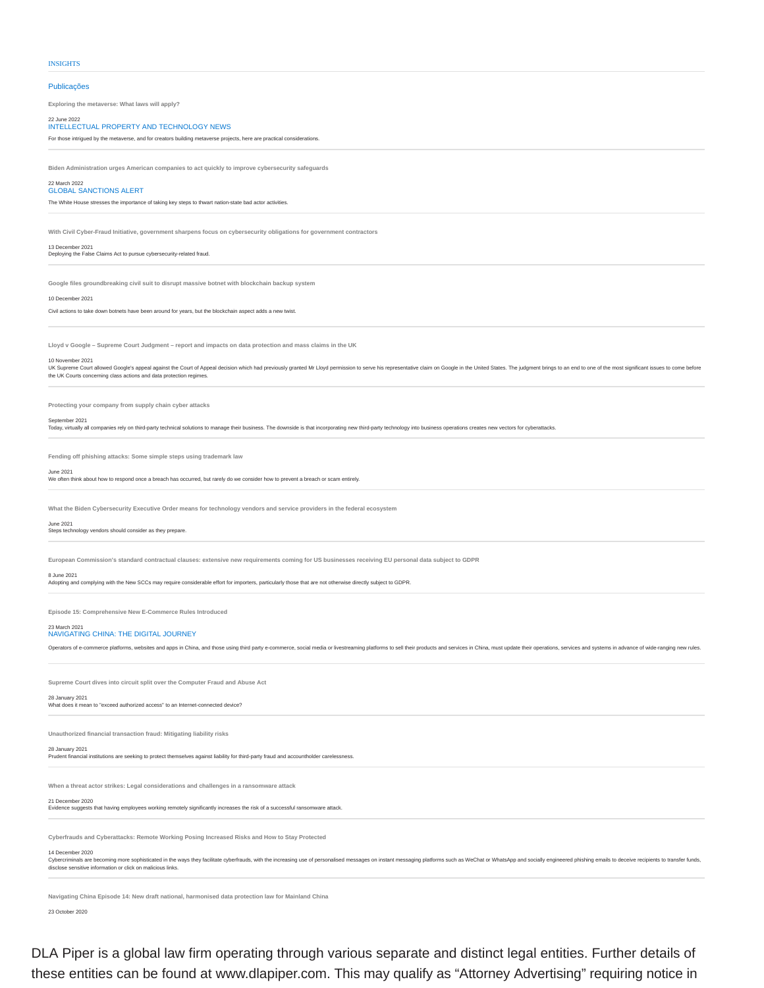# Publicações

**Exploring the metaverse: What laws will apply?**

# 22 June 2022 INTELLECTUAL PROPERTY AND TECHNOLOGY NEWS

For those intrigued by the metaverse, and for creators building metaverse projects, here are practical considerations.

**Biden Administration urges American companies to act quickly to improve cybersecurity safeguards**

#### 22 March 2022 GLOBAL SANCTIONS ALERT

The White House stresses the importance of taking key steps to thwart nation-state bad actor activities.

**With Civil Cyber-Fraud Initiative, government sharpens focus on cybersecurity obligations for government contractors**

13 December 2021 Deploying the False Claims Act to pursue cybersecurity-related fraud.

**Google files groundbreaking civil suit to disrupt massive botnet with blockchain backup system**

10 December 2021

Civil actions to take down botnets have been around for years, but the blockchain aspect adds a new twist.

**Lloyd v Google – Supreme Court Judgment – report and impacts on data protection and mass claims in the UK**

#### 10 November 2021

or the countries are allowed Goode's appeal against the Court of Appeal decision which had previously granted Mr Lloyd permission to serve his representative claim on Google in the United States. The judgment brings to an the UK Courts concerning class actions and data protection regimes.

**Protecting your company from supply chain cyber attacks**

# September 2021

Today, virtually all companies rely on third-party technical solutions to manage their business. The downside is that incorporating new third-party technology into business operations creates new vectors for cyberattacks.

**Fending off phishing attacks: Some simple steps using trademark law**

# June 2021

We often think about how to respond once a breach has occurred, but rarely do we consider how to prevent a breach or scam entirely.

**What the Biden Cybersecurity Executive Order means for technology vendors and service providers in the federal ecosystem**

# June 2021

Steps technology vendors should consider as they prepare.

**European Commission's standard contractual clauses: extensive new requirements coming for US businesses receiving EU personal data subject to GDPR**

# 8 June 2021

Adopting and complying with the New SCCs may require considerable effort for importers, particularly those that are not otherwise directly subject to GDPR.

**Episode 15: Comprehensive New E-Commerce Rules Introduced**

# 23 March 2021

NAVIGATING CHINA: THE DIGITAL JOURNEY

Operators of e-commerce platforms, websites and apps in China, and those using third party e-commerce, social media or livestreaming platforms to sell their products and services in China, must update their operations, ser

**Supreme Court dives into circuit split over the Computer Fraud and Abuse Act**

# 28 January 2021<br>What does it mean to "exceed authorized access" to an Internet-connected device?

**Unauthorized financial transaction fraud: Mitigating liability risks**

# 28 January 2021

ancial institutions are seeking to protect themselves against liability for third-party fraud and accountholder carelessne

**When a threat actor strikes: Legal considerations and challenges in a ransomware attack**

# 21 December 2020

Evidence suggests that having employees working remotely significantly increases the risk of a successful ransomware attack.

**Cyberfrauds and Cyberattacks: Remote Working Posing Increased Risks and How to Stay Protected**

# 14 December 2020

.<br>Cybercriminals are becoming more sophisticated in the ways they facilitate cyberfrauds, with the increasing use of personalised messages on instant messaging platforms such as WeChat or WhatsApp and socially engineered p disclose sensitive information or click on malicious links.

**Navigating China Episode 14: New draft national, harmonised data protection law for Mainland China**

23 October 2020

DLA Piper is a global law firm operating through various separate and distinct legal entities. Further details of these entities can be found at www.dlapiper.com. This may qualify as "Attorney Advertising" requiring notice in